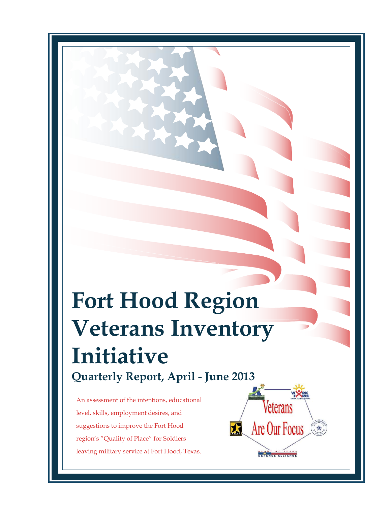# **Fort Hood Region Veterans Inventory Initiative Quarterly Report, April - June 2013**

An assessment of the intentions, educational level, skills, employment desires, and suggestions to improve the Fort Hood region's "Quality of Place" for Soldiers leaving military service at Fort Hood, Texas.

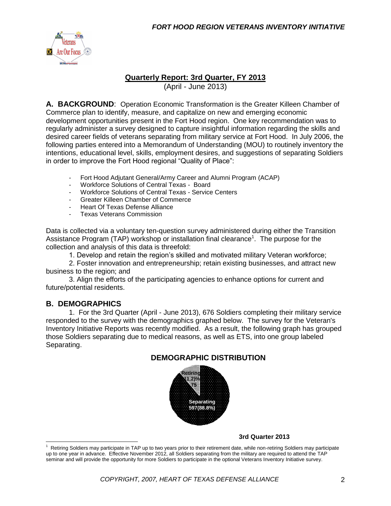

#### **Quarterly Report: 3rd Quarter, FY 2013**

(April - June 2013)

**A. BACKGROUND**: Operation Economic Transformation is the Greater Killeen Chamber of Commerce plan to identify, measure, and capitalize on new and emerging economic development opportunities present in the Fort Hood region. One key recommendation was to regularly administer a survey designed to capture insightful information regarding the skills and desired career fields of veterans separating from military service at Fort Hood. In July 2006, the following parties entered into a Memorandum of Understanding (MOU) to routinely inventory the intentions, educational level, skills, employment desires, and suggestions of separating Soldiers in order to improve the Fort Hood regional "Quality of Place":

- Fort Hood Adjutant General/Army Career and Alumni Program (ACAP)
- Workforce Solutions of Central Texas Board
- Workforce Solutions of Central Texas Service Centers
- Greater Killeen Chamber of Commerce
- Heart Of Texas Defense Alliance
- Texas Veterans Commission

Data is collected via a voluntary ten-question survey administered during either the Transition Assistance Program (TAP) workshop or installation final clearance<sup>1</sup>. The purpose for the collection and analysis of this data is threefold:

1. Develop and retain the region's skilled and motivated military Veteran workforce;

2. Foster innovation and entrepreneurship; retain existing businesses, and attract new business to the region; and

3. Align the efforts of the participating agencies to enhance options for current and future/potential residents.

#### **B. DEMOGRAPHICS**

 $\overline{a}$ 

1. For the 3rd Quarter (April - June 2013), 676 Soldiers completing their military service responded to the survey with the demographics graphed below. The survey for the Veteran's Inventory Initiative Reports was recently modified. As a result, the following graph has grouped those Soldiers separating due to medical reasons, as well as ETS, into one group labeled Separating.

#### **DEMOGRAPHIC DISTRIBUTION**



**3rd Quarter 2013**

<sup>1</sup> Retiring Soldiers may participate in TAP up to two years prior to their retirement date, while non-retiring Soldiers may participate up to one year in advance. Effective November 2012, all Soldiers separating from the military are required to attend the TAP seminar and will provide the opportunity for more Soldiers to participate in the optional Veterans Inventory Initiative survey.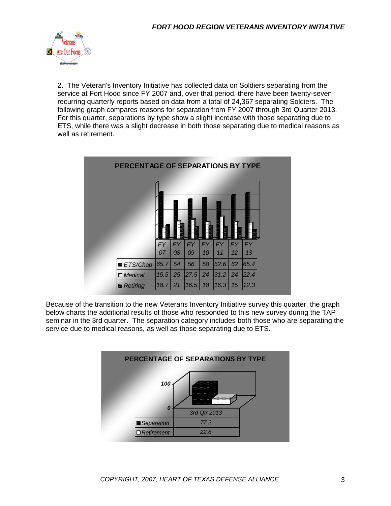

2. The Veteran's Inventory Initiative has collected data on Soldiers separating from the service at Fort Hood since FY 2007 and, over that period, there have been twenty-seven recurring quarterly reports based on data from a total of 24,367 separating Soldiers. The following graph compares reasons for separation from FY 2007 through 3rd Quarter 2013. For this quarter, separations by type show a slight increase with those separating due to ETS, while there was a slight decrease in both those separating due to medical reasons as well as retirement.



Because of the transition to the new Veterans Inventory Initiative survey this quarter, the graph below charts the additional results of those who responded to this new survey during the TAP seminar in the 3rd quarter. The separation category includes both those who are separating the service due to medical reasons, as well as those separating due to ETS.

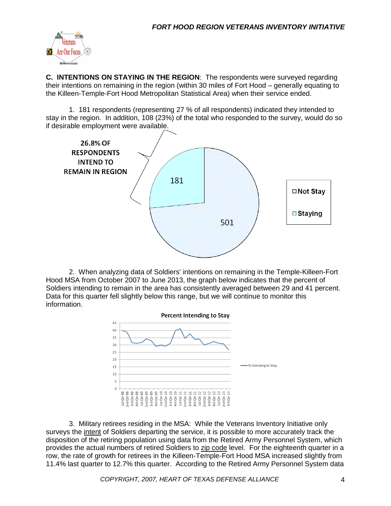

**C. INTENTIONS ON STAYING IN THE REGION**: The respondents were surveyed regarding their intentions on remaining in the region (within 30 miles of Fort Hood – generally equating to the Killeen-Temple-Fort Hood Metropolitan Statistical Area) when their service ended.

1. 181 respondents (representing 27 % of all respondents) indicated they intended to stay in the region. In addition, 108 (23%) of the total who responded to the survey, would do so if desirable employment were available.



2. When analyzing data of Soldiers' intentions on remaining in the Temple-Killeen-Fort Hood MSA from October 2007 to June 2013, the graph below indicates that the percent of Soldiers intending to remain in the area has consistently averaged between 29 and 41 percent. Data for this quarter fell slightly below this range, but we will continue to monitor this information.



3. Military retirees residing in the MSA: While the Veterans Inventory Initiative only surveys the intent of Soldiers departing the service, it is possible to more accurately track the disposition of the retiring population using data from the Retired Army Personnel System, which provides the actual numbers of retired Soldiers to zip code level. For the eighteenth quarter in a row, the rate of growth for retirees in the Killeen-Temple-Fort Hood MSA increased slightly from 11.4% last quarter to 12.7% this quarter. According to the Retired Army Personnel System data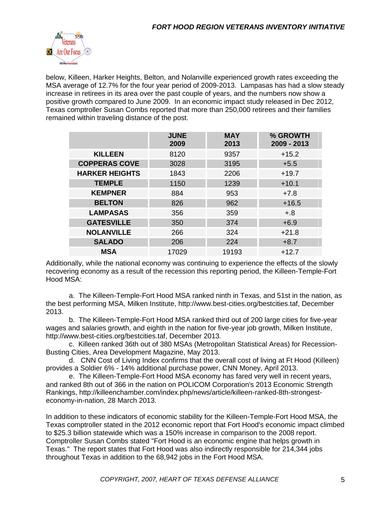

below, Killeen, Harker Heights, Belton, and Nolanville experienced growth rates exceeding the MSA average of 12.7% for the four year period of 2009-2013. Lampasas has had a slow steady increase in retirees in its area over the past couple of years, and the numbers now show a positive growth compared to June 2009. In an economic impact study released in Dec 2012, Texas comptroller Susan Combs reported that more than 250,000 retirees and their families remained within traveling distance of the post.

|                       | <b>JUNE</b><br>2009 | <b>MAY</b><br>2013 | % GROWTH<br>2009 - 2013 |
|-----------------------|---------------------|--------------------|-------------------------|
| <b>KILLEEN</b>        | 8120                | 9357               | $+15.2$                 |
| <b>COPPERAS COVE</b>  | 3028                | 3195               | $+5.5$                  |
| <b>HARKER HEIGHTS</b> | 1843                | 2206               | $+19.7$                 |
| <b>TEMPLE</b>         | 1150                | 1239               | $+10.1$                 |
| <b>KEMPNER</b>        | 884                 | 953                | $+7.8$                  |
| <b>BELTON</b>         | 826                 | 962                | $+16.5$                 |
| <b>LAMPASAS</b>       | 356                 | 359                | $+.8$                   |
| <b>GATESVILLE</b>     | 350                 | 374                | $+6.9$                  |
| <b>NOLANVILLE</b>     | 266                 | 324                | $+21.8$                 |
| <b>SALADO</b>         | 206                 | 224                | $+8.7$                  |
| <b>MSA</b>            | 17029               | 19193              | $+12.7$                 |

Additionally, while the national economy was continuing to experience the effects of the slowly recovering economy as a result of the recession this reporting period, the Killeen-Temple-Fort Hood MSA:

a. The Killeen-Temple-Fort Hood MSA ranked ninth in Texas, and 51st in the nation, as the best performing MSA, Milken Institute, http://www.best-cities.org/bestcities.taf, December 2013.

b. The Killeen-Temple-Fort Hood MSA ranked third out of 200 large cities for five-year wages and salaries growth, and eighth in the nation for five-year job growth, Milken Institute, http://www.best-cities.org/bestcities.taf, December 2013.

c. Killeen ranked 36th out of 380 MSAs (Metropolitan Statistical Areas) for Recession-Busting Cities, Area Development Magazine, May 2013.

d. CNN Cost of Living Index confirms that the overall cost of living at Ft Hood (Killeen) provides a Soldier 6% - 14% additional purchase power, CNN Money, April 2013.

e. The Killeen-Temple-Fort Hood MSA economy has fared very well in recent years, and ranked 8th out of 366 in the nation on POLICOM Corporation's 2013 Economic Strength Rankings, http://killeenchamber.com/index.php/news/article/killeen-ranked-8th-strongesteconomy-in-nation, 28 March 2013.

In addition to these indicators of economic stability for the Killeen-Temple-Fort Hood MSA, the Texas comptroller stated in the 2012 economic report that Fort Hood's economic impact climbed to \$25.3 billion statewide which was a 150% increase in comparison to the 2008 report. Comptroller Susan Combs stated "Fort Hood is an economic engine that helps growth in Texas." The report states that Fort Hood was also indirectly responsible for 214,344 jobs throughout Texas in addition to the 68,942 jobs in the Fort Hood MSA.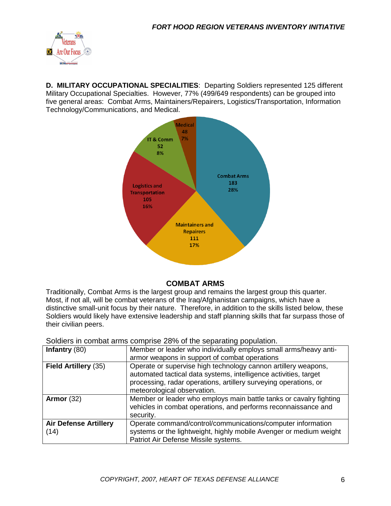

**D. MILITARY OCCUPATIONAL SPECIALITIES**: Departing Soldiers represented 125 different Military Occupational Specialties. However, 77% (499/649 respondents) can be grouped into five general areas: Combat Arms, Maintainers/Repairers, Logistics/Transportation, Information Technology/Communications, and Medical.



#### **COMBAT ARMS**

Traditionally, Combat Arms is the largest group and remains the largest group this quarter. Most, if not all, will be combat veterans of the Iraq/Afghanistan campaigns, which have a distinctive small-unit focus by their nature. Therefore, in addition to the skills listed below, these Soldiers would likely have extensive leadership and staff planning skills that far surpass those of their civilian peers.

Soldiers in combat arms comprise 28% of the separating population.

| Infantry $(80)$                      | Member or leader who individually employs small arms/heavy anti-                                                                                                          |
|--------------------------------------|---------------------------------------------------------------------------------------------------------------------------------------------------------------------------|
|                                      | armor weapons in support of combat operations                                                                                                                             |
| Field Artillery (35)                 | Operate or supervise high technology cannon artillery weapons,<br>automated tactical data systems, intelligence activities, target                                        |
|                                      | processing, radar operations, artillery surveying operations, or<br>meteorological observation.                                                                           |
| Armor $(32)$                         | Member or leader who employs main battle tanks or cavalry fighting<br>vehicles in combat operations, and performs reconnaissance and<br>security.                         |
| <b>Air Defense Artillery</b><br>(14) | Operate command/control/communications/computer information<br>systems or the lightweight, highly mobile Avenger or medium weight<br>Patriot Air Defense Missile systems. |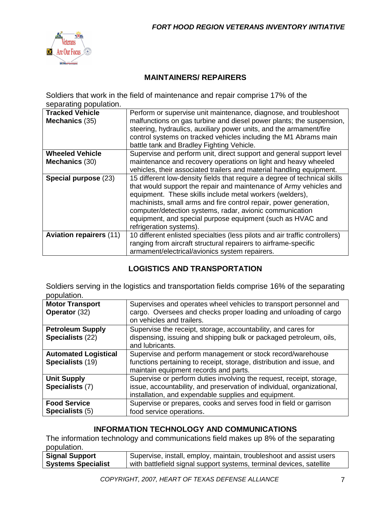

### **MAINTAINERS/ REPAIRERS**

Soldiers that work in the field of maintenance and repair comprise 17% of the separating population.

| <b>Tracked Vehicle</b>         | Perform or supervise unit maintenance, diagnose, and troubleshoot           |  |  |
|--------------------------------|-----------------------------------------------------------------------------|--|--|
| Mechanics (35)                 | malfunctions on gas turbine and diesel power plants; the suspension,        |  |  |
|                                | steering, hydraulics, auxiliary power units, and the armament/fire          |  |  |
|                                | control systems on tracked vehicles including the M1 Abrams main            |  |  |
|                                | battle tank and Bradley Fighting Vehicle.                                   |  |  |
| <b>Wheeled Vehicle</b>         | Supervise and perform unit, direct support and general support level        |  |  |
| <b>Mechanics (30)</b>          | maintenance and recovery operations on light and heavy wheeled              |  |  |
|                                | vehicles, their associated trailers and material handling equipment.        |  |  |
| Special purpose (23)           | 15 different low-density fields that require a degree of technical skills   |  |  |
|                                | that would support the repair and maintenance of Army vehicles and          |  |  |
|                                | equipment. These skills include metal workers (welders),                    |  |  |
|                                | machinists, small arms and fire control repair, power generation,           |  |  |
|                                | computer/detection systems, radar, avionic communication                    |  |  |
|                                | equipment, and special purpose equipment (such as HVAC and                  |  |  |
|                                | refrigeration systems).                                                     |  |  |
| <b>Aviation repairers (11)</b> | 10 different enlisted specialties (less pilots and air traffic controllers) |  |  |
|                                | ranging from aircraft structural repairers to airframe-specific             |  |  |
|                                | armament/electrical/avionics system repairers.                              |  |  |

# **LOGISTICS AND TRANSPORTATION**

Soldiers serving in the logistics and transportation fields comprise 16% of the separating population.

| <b>Motor Transport</b>      | Supervises and operates wheel vehicles to transport personnel and                             |
|-----------------------------|-----------------------------------------------------------------------------------------------|
| Operator (32)               | cargo. Oversees and checks proper loading and unloading of cargo<br>on vehicles and trailers. |
|                             |                                                                                               |
| <b>Petroleum Supply</b>     | Supervise the receipt, storage, accountability, and cares for                                 |
| Specialists (22)            | dispensing, issuing and shipping bulk or packaged petroleum, oils,<br>and lubricants.         |
| <b>Automated Logistical</b> | Supervise and perform management or stock record/warehouse                                    |
| Specialists (19)            | functions pertaining to receipt, storage, distribution and issue, and                         |
|                             | maintain equipment records and parts.                                                         |
| <b>Unit Supply</b>          | Supervise or perform duties involving the request, receipt, storage,                          |
| Specialists (7)             | issue, accountability, and preservation of individual, organizational,                        |
|                             | installation, and expendable supplies and equipment.                                          |
| <b>Food Service</b>         | Supervise or prepares, cooks and serves food in field or garrison                             |
| Specialists (5)             | food service operations.                                                                      |

# **INFORMATION TECHNOLOGY AND COMMUNICATIONS**

The information technology and communications field makes up 8% of the separating population.

| Signal Support            | Supervise, install, employ, maintain, troubleshoot and assist users  |
|---------------------------|----------------------------------------------------------------------|
| <b>Systems Specialist</b> | with battlefield signal support systems, terminal devices, satellite |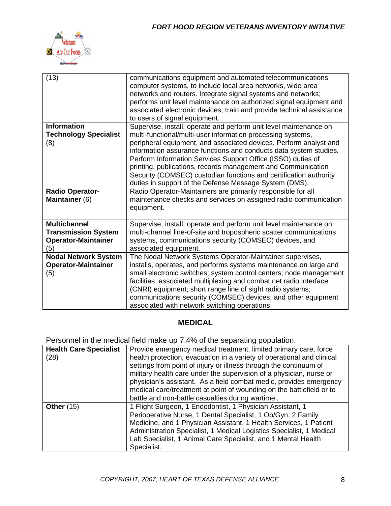

| (13)                                                                                   | communications equipment and automated telecommunications<br>computer systems, to include local area networks, wide area<br>networks and routers. Integrate signal systems and networks;<br>performs unit level maintenance on authorized signal equipment and<br>associated electronic devices; train and provide technical assistance<br>to users of signal equipment.                                                                                                                                                                  |
|----------------------------------------------------------------------------------------|-------------------------------------------------------------------------------------------------------------------------------------------------------------------------------------------------------------------------------------------------------------------------------------------------------------------------------------------------------------------------------------------------------------------------------------------------------------------------------------------------------------------------------------------|
| <b>Information</b><br><b>Technology Specialist</b><br>(8)                              | Supervise, install, operate and perform unit level maintenance on<br>multi-functional/multi-user information processing systems,<br>peripheral equipment, and associated devices. Perform analyst and<br>information assurance functions and conducts data system studies.<br>Perform Information Services Support Office (ISSO) duties of<br>printing, publications, records management and Communication<br>Security (COMSEC) custodian functions and certification authority<br>duties in support of the Defense Message System (DMS). |
| <b>Radio Operator-</b><br>Maintainer (6)                                               | Radio Operator-Maintainers are primarily responsible for all<br>maintenance checks and services on assigned radio communication<br>equipment.                                                                                                                                                                                                                                                                                                                                                                                             |
| <b>Multichannel</b><br><b>Transmission System</b><br><b>Operator-Maintainer</b><br>(5) | Supervise, install, operate and perform unit level maintenance on<br>multi-channel line-of-site and tropospheric scatter communications<br>systems, communications security (COMSEC) devices, and<br>associated equipment.                                                                                                                                                                                                                                                                                                                |
| <b>Nodal Network System</b><br><b>Operator-Maintainer</b><br>(5)                       | The Nodal Network Systems Operator-Maintainer supervises,<br>installs, operates, and performs systems maintenance on large and<br>small electronic switches; system control centers; node management<br>facilities; associated multiplexing and combat net radio interface<br>(CNRI) equipment; short range line of sight radio systems;<br>communications security (COMSEC) devices; and other equipment<br>associated with network switching operations.                                                                                |

# **MEDICAL**

Personnel in the medical field make up 7.4% of the separating population.

| <b>Health Care Specialist</b> | Provide emergency medical treatment, limited primary care, force       |  |  |
|-------------------------------|------------------------------------------------------------------------|--|--|
|                               |                                                                        |  |  |
| (28)                          | health protection, evacuation in a variety of operational and clinical |  |  |
|                               | settings from point of injury or illness through the continuum of      |  |  |
|                               | military health care under the supervision of a physician, nurse or    |  |  |
|                               | physician's assistant. As a field combat medic, provides emergency     |  |  |
|                               | medical care/treatment at point of wounding on the battlefield or to   |  |  |
|                               | battle and non-battle casualties during wartime.                       |  |  |
| Other $(15)$                  | 1 Flight Surgeon, 1 Endodontist, 1 Physician Assistant, 1              |  |  |
|                               | Perioperative Nurse, 1 Dental Specialist, 1 Ob/Gyn, 2 Family           |  |  |
|                               | Medicine, and 1 Physician Assistant, 1 Health Services, 1 Patient      |  |  |
|                               | Administration Specialist, 1 Medical Logistics Specialist, 1 Medical   |  |  |
|                               | Lab Specialist, 1 Animal Care Specialist, and 1 Mental Health          |  |  |
|                               | Specialist.                                                            |  |  |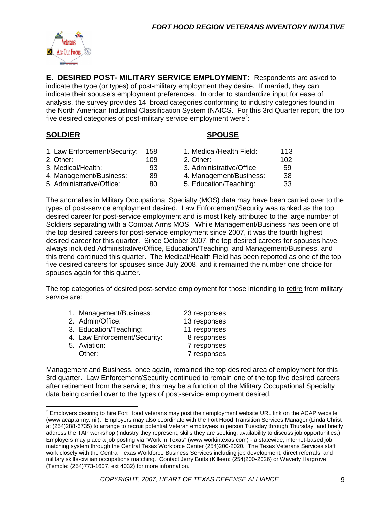

**E. DESIRED POST- MILITARY SERVICE EMPLOYMENT:** Respondents are asked to indicate the type (or types) of post-military employment they desire. If married, they can indicate their spouse's employment preferences. In order to standardize input for ease of analysis, the survey provides 14 broad categories conforming to industry categories found in the North American Industrial Classification System (NAICS. For this 3rd Quarter report, the top five desired categories of post-military service employment were<sup>2</sup>:

#### **SOLDIER SPOUSE**

| 1. Law Enforcement/Security: | 158 | 1. Medical/Health Field: | 113 |
|------------------------------|-----|--------------------------|-----|
| 2. Other:                    | 109 | 2. Other:                | 102 |
| 3. Medical/Health:           | 93  | 3. Administrative/Office | 59  |
| 4. Management/Business:      | 89  | 4. Management/Business:  | 38  |
| 5. Administrative/Office:    | 80  | 5. Education/Teaching:   | 33  |

The anomalies in Military Occupational Specialty (MOS) data may have been carried over to the types of post-service employment desired. Law Enforcement/Security was ranked as the top desired career for post-service employment and is most likely attributed to the large number of Soldiers separating with a Combat Arms MOS. While Management/Business has been one of the top desired careers for post-service employment since 2007, it was the fourth highest desired career for this quarter. Since October 2007, the top desired careers for spouses have always included Administrative/Office, Education/Teaching, and Management/Business, and this trend continued this quarter. The Medical/Health Field has been reported as one of the top five desired careers for spouses since July 2008, and it remained the number one choice for spouses again for this quarter.

The top categories of desired post-service employment for those intending to retire from military service are:

| 1. Management/Business:      | 23 responses |
|------------------------------|--------------|
| 2. Admin/Office:             | 13 responses |
| 3. Education/Teaching:       | 11 responses |
| 4. Law Enforcement/Security: | 8 responses  |
| 5. Aviation:                 | 7 responses  |
| Other:                       | 7 responses  |

Management and Business, once again, remained the top desired area of employment for this 3rd quarter. Law Enforcement/Security continued to remain one of the top five desired careers after retirement from the service; this may be a function of the Military Occupational Specialty data being carried over to the types of post-service employment desired.

<sup>&</sup>lt;u>2</u><br><sup>2</sup> Employers desiring to hire Fort Hood veterans may post their employment website URL link on the ACAP website (www.acap.army.mil). Employers may also coordinate with the Fort Hood Transition Services Manager (Linda Christ at (254)288-6735) to arrange to recruit potential Veteran employees in person Tuesday through Thursday, and briefly address the TAP workshop (industry they represent, skills they are seeking, availability to discuss job opportunities.) Employers may place a job posting via "Work in Texas" (www.workintexas.com) - a statewide, internet-based job matching system through the Central Texas Workforce Center (254)200-2020. The Texas Veterans Services staff work closely with the Central Texas Workforce Business Services including job development, direct referrals, and military skills-civilian occupations matching. Contact Jerry Butts (Killeen: (254)200-2026) or Waverly Hargrove (Temple: (254)773-1607, ext 4032) for more information.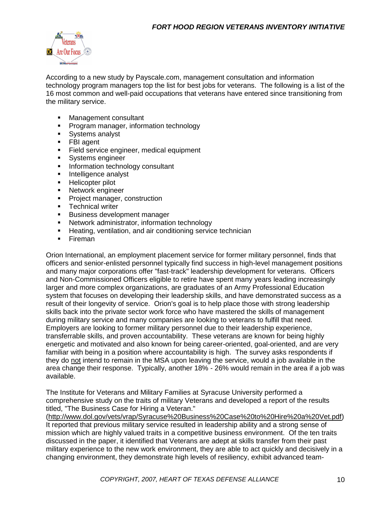

According to a new study by Payscale.com, management consultation and information technology program managers top the list for best jobs for veterans. The following is a list of the 16 most common and well-paid occupations that veterans have entered since transitioning from the military service.

- **Nanagement consultant**
- **Program manager, information technology**
- **Systems analyst**
- FBI agent
- **Field service engineer, medical equipment**
- **Systems engineer**
- **Information technology consultant**
- **Intelligence analyst**
- **Helicopter pilot**
- **Network engineer**
- **Project manager, construction**
- **Technical writer**
- **Business development manager**
- Network administrator, information technology
- **Heating, ventilation, and air conditioning service technician**
- **Fireman**

Orion International, an employment placement service for former military personnel, finds that officers and senior-enlisted personnel typically find success in high-level management positions and many major corporations offer "fast-track" leadership development for veterans. Officers and Non-Commissioned Officers eligible to retire have spent many years leading increasingly larger and more complex organizations, are graduates of an Army Professional Education system that focuses on developing their leadership skills, and have demonstrated success as a result of their longevity of service. Orion's goal is to help place those with strong leadership skills back into the private sector work force who have mastered the skills of management during military service and many companies are looking to veterans to fulfill that need. Employers are looking to former military personnel due to their leadership experience, transferrable skills, and proven accountability. These veterans are known for being highly energetic and motivated and also known for being career-oriented, goal-oriented, and are very familiar with being in a position where accountability is high. The survey asks respondents if they do not intend to remain in the MSA upon leaving the service, would a job available in the area change their response. Typically, another 18% - 26% would remain in the area if a job was available.

The Institute for Veterans and Military Families at Syracuse University performed a comprehensive study on the traits of military Veterans and developed a report of the results titled, "The Business Case for Hiring a Veteran."

[\(http://www.dol.gov/vets/vrap/Syracuse%20Business%20Case%20to%20Hire%20a%20Vet.pdf\)](http://www.dol.gov/vets/vrap/Syracuse%20Business%20Case%20to%20Hire%20a%20Vet.pdf) It reported that previous military service resulted in leadership ability and a strong sense of mission which are highly valued traits in a competitive business environment. Of the ten traits discussed in the paper, it identified that Veterans are adept at skills transfer from their past military experience to the new work environment, they are able to act quickly and decisively in a changing environment, they demonstrate high levels of resiliency, exhibit advanced team-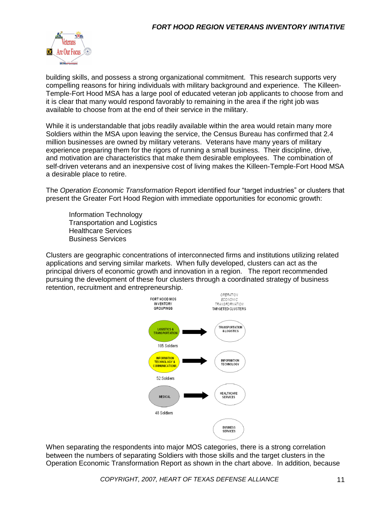

building skills, and possess a strong organizational commitment. This research supports very compelling reasons for hiring individuals with military background and experience. The Killeen-Temple-Fort Hood MSA has a large pool of educated veteran job applicants to choose from and it is clear that many would respond favorably to remaining in the area if the right job was available to choose from at the end of their service in the military.

While it is understandable that jobs readily available within the area would retain many more Soldiers within the MSA upon leaving the service, the Census Bureau has confirmed that 2.4 million businesses are owned by military veterans. Veterans have many years of military experience preparing them for the rigors of running a small business. Their discipline, drive, and motivation are characteristics that make them desirable employees. The combination of self-driven veterans and an inexpensive cost of living makes the Killeen-Temple-Fort Hood MSA a desirable place to retire.

The *Operation Economic Transformation* Report identified four "target industries" or clusters that present the Greater Fort Hood Region with immediate opportunities for economic growth:

Information Technology Transportation and Logistics Healthcare Services Business Services

Clusters are geographic concentrations of interconnected firms and institutions utilizing related applications and serving similar markets. When fully developed, clusters can act as the principal drivers of economic growth and innovation in a region. The report recommended pursuing the development of these four clusters through a coordinated strategy of business retention, recruitment and entrepreneurship.



When separating the respondents into major MOS categories, there is a strong correlation between the numbers of separating Soldiers with those skills and the target clusters in the Operation Economic Transformation Report as shown in the chart above. In addition, because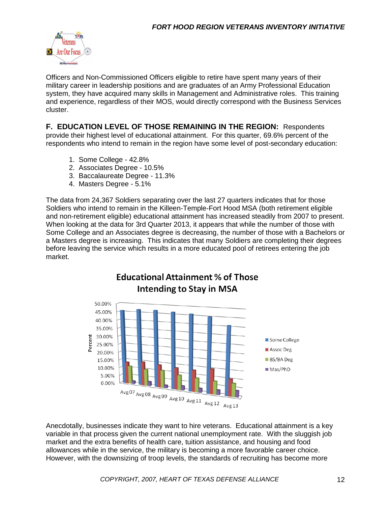

Officers and Non-Commissioned Officers eligible to retire have spent many years of their military career in leadership positions and are graduates of an Army Professional Education system, they have acquired many skills in Management and Administrative roles. This training and experience, regardless of their MOS, would directly correspond with the Business Services cluster.

**F. EDUCATION LEVEL OF THOSE REMAINING IN THE REGION:** Respondents provide their highest level of educational attainment. For this quarter, 69.6% percent of the respondents who intend to remain in the region have some level of post-secondary education:

- 1. Some College 42.8%
- 2. Associates Degree 10.5%
- 3. Baccalaureate Degree 11.3%
- 4. Masters Degree 5.1%

The data from 24,367 Soldiers separating over the last 27 quarters indicates that for those Soldiers who intend to remain in the Killeen-Temple-Fort Hood MSA (both retirement eligible and non-retirement eligible) educational attainment has increased steadily from 2007 to present. When looking at the data for 3rd Quarter 2013, it appears that while the number of those with Some College and an Associates degree is decreasing, the number of those with a Bachelors or a Masters degree is increasing. This indicates that many Soldiers are completing their degrees before leaving the service which results in a more educated pool of retirees entering the job market.



Anecdotally, businesses indicate they want to hire veterans. Educational attainment is a key variable in that process given the current national unemployment rate. With the sluggish job market and the extra benefits of health care, tuition assistance, and housing and food allowances while in the service, the military is becoming a more favorable career choice. However, with the downsizing of troop levels, the standards of recruiting has become more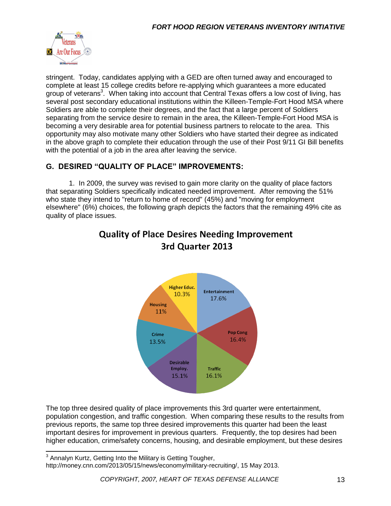

stringent. Today, candidates applying with a GED are often turned away and encouraged to complete at least 15 college credits before re-applying which guarantees a more educated group of veterans<sup>3</sup>. When taking into account that Central Texas offers a low cost of living, has several post secondary educational institutions within the Killeen-Temple-Fort Hood MSA where Soldiers are able to complete their degrees, and the fact that a large percent of Soldiers separating from the service desire to remain in the area, the Killeen-Temple-Fort Hood MSA is becoming a very desirable area for potential business partners to relocate to the area. This opportunity may also motivate many other Soldiers who have started their degree as indicated in the above graph to complete their education through the use of their Post 9/11 GI Bill benefits with the potential of a job in the area after leaving the service.

# **G. DESIRED "QUALITY OF PLACE" IMPROVEMENTS:**

1. In 2009, the survey was revised to gain more clarity on the quality of place factors that separating Soldiers specifically indicated needed improvement. After removing the 51% who state they intend to "return to home of record" (45%) and "moving for employment elsewhere" (6%) choices, the following graph depicts the factors that the remaining 49% cite as quality of place issues.



# **Quality of Place Desires Needing Improvement** 3rd Quarter 2013

The top three desired quality of place improvements this 3rd quarter were entertainment, population congestion, and traffic congestion. When comparing these results to the results from previous reports, the same top three desired improvements this quarter had been the least important desires for improvement in previous quarters. Frequently, the top desires had been higher education, crime/safety concerns, housing, and desirable employment, but these desires

 $3$  Annalyn Kurtz, Getting Into the Military is Getting Tougher,

 $\overline{\phantom{a}}$ 

http://money.cnn.com/2013/05/15/news/economy/military-recruiting/, 15 May 2013.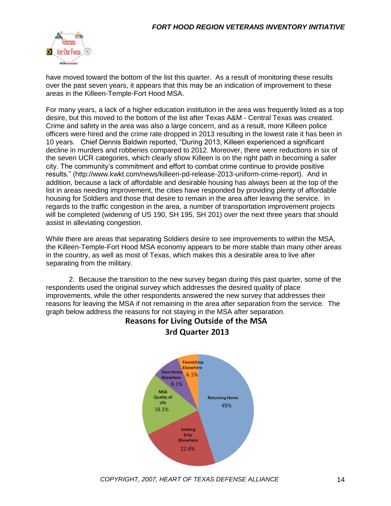

have moved toward the bottom of the list this quarter. As a result of monitoring these results over the past seven years, it appears that this may be an indication of improvement to these areas in the Killeen-Temple-Fort Hood MSA.

For many years, a lack of a higher education institution in the area was frequently listed as a top desire, but this moved to the bottom of the list after Texas A&M - Central Texas was created. Crime and safety in the area was also a large concern, and as a result, more Killeen police officers were hired and the crime rate dropped in 2013 resulting in the lowest rate it has been in 10 years. Chief Dennis Baldwin reported, "During 2013, Killeen experienced a significant decline in murders and robberies compared to 2012. Moreover, there were reductions in six of the seven UCR categories, which clearly show Killeen is on the right path in becoming a safer city. The community's commitment and effort to combat crime continue to provide positive results." (http://www.kwkt.com/news/killeen-pd-release-2013-uniform-crime-report). And in addition, because a lack of affordable and desirable housing has always been at the top of the list in areas needing improvement, the cities have responded by providing plenty of affordable housing for Soldiers and those that desire to remain in the area after leaving the service. In regards to the traffic congestion in the area, a number of transportation improvement projects will be completed (widening of US 190, SH 195, SH 201) over the next three years that should assist in alleviating congestion.

While there are areas that separating Soldiers desire to see improvements to within the MSA, the Killeen-Temple-Fort Hood MSA economy appears to be more stable than many other areas in the country, as well as most of Texas, which makes this a desirable area to live after separating from the military.

2. Because the transition to the new survey began during this past quarter, some of the respondents used the original survey which addresses the desired quality of place improvements, while the other respondents answered the new survey that addresses their reasons for leaving the MSA if not remaining in the area after separation from the service. The graph below address the reasons for not staying in the MSA after separation.



## **Reasons for Living Outside of the MSA** 3rd Quarter 2013